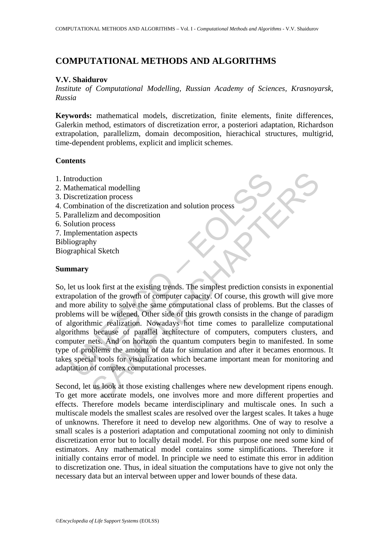# **COMPUTATIONAL METHODS AND ALGORITHMS**

#### **V.V. Shaidurov**

*Institute of Computational Modelling, Russian Academy of Sciences, Krasnoyarsk, Russia* 

**Keywords:** mathematical models, discretization, finite elements, finite differences, Galerkin method, estimators of discretization error, a posteriori adaptation, Richardson extrapolation, parallelizm, domain decomposition, hierachical structures, multigrid, time-dependent problems, explicit and implicit schemes.

#### **Contents**

- 1. Introduction
- 2. Mathematical modelling
- 3. Discretization process
- 4. Combination of the discretization and solution process
- 5. Parallelizm and decomposition
- 6. Solution process
- 7. Implementation aspects Bibliography
- 

Biographical Sketch

### **Summary**

ntroduction<br>
anthematical modelling<br>
inscretization process<br>
combination of the discretization and solution process<br>
colution process<br>
olution process<br>
preplementation aspects<br>
inography<br>
graphical Sketch<br> **anary**<br>
let us tion<br>
atical modelling<br>
ation process<br>
ataion of the discretization and solution process<br>
and and decomposition<br>
process<br>
and al Sketch<br>
hy<br>
hy<br>
hy<br>
bok first at the existing trends. The simplest prediction consists in exp So, let us look first at the existing trends. The simplest prediction consists in exponential extrapolation of the growth of computer capacity. Of course, this growth will give more and more ability to solve the same computational class of problems. But the classes of problems will be widened. Other side of this growth consists in the change of paradigm of algorithmic realization. Nowadays hot time comes to parallelize computational algorithms because of parallel architecture of computers, computers clusters, and computer nets. And on horizon the quantum computers begin to manifested. In some type of problems the amount of data for simulation and after it becames enormous. It takes special tools for visualization which became important mean for monitoring and adaptation of complex computational processes.

Second, let us look at those existing challenges where new development ripens enough. To get more accurate models, one involves more and more different properties and effects. Therefore models became interdisciplinary and multiscale ones. In such a multiscale models the smallest scales are resolved over the largest scales. It takes a huge of unknowns. Therefore it need to develop new algorithms. One of way to resolve a small scales is a posteriori adaptation and computational zooming not only to diminish discretization error but to locally detail model. For this purpose one need some kind of estimators. Any mathematical model contains some simplifications. Therefore it initially contains error of model. In principle we need to estimate this error in addition to discretization one. Thus, in ideal situation the computations have to give not only the necessary data but an interval between upper and lower bounds of these data.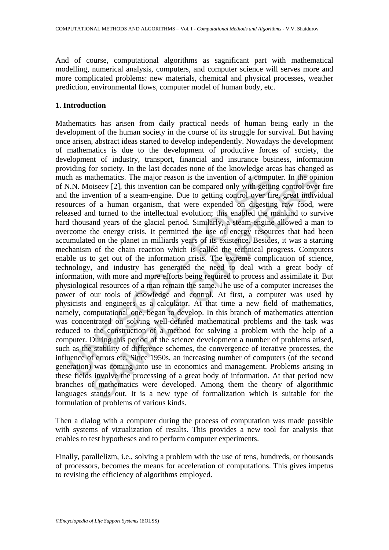And of course, computational algorithms as sagnificant part with mathematical modelling, numerical analysis, computers, and computer science will serves more and more complicated problems: new materials, chemical and physical processes, weather prediction, environmental flows, computer model of human body, etc.

## **1. Introduction**

I.N. Moiseev [2], this invention can be compared only with gettin the invention of a computed M.N. Moiseev [2], this invention can be compared only with gettin the invention of a steam-engine. Due to getting control over athematics. The major reason is the invention of a computer. In the opinoseev [2], this invention can be compared only with getting control over enting of a steam-engine. Due to getting control of a feam-engine. Due to get Mathematics has arisen from daily practical needs of human being early in the development of the human society in the course of its struggle for survival. But having once arisen, abstract ideas started to develop independently. Nowadays the development of mathematics is due to the development of productive forces of society, the development of industry, transport, financial and insurance business, information providing for society. In the last decades none of the knowledge areas has changed as much as mathematics. The major reason is the invention of a computer. In the opinion of N.N. Moiseev [2], this invention can be compared only with getting control over fire and the invention of a steam-engine. Due to getting control over fire, great individual resources of a human organism, that were expended on digesting raw food, were released and turned to the intellectual evolution; this enabled the mankind to survive hard thousand years of the glacial period. Similarly, a steam-engine allowed a man to overcome the energy crisis. It permitted the use of energy resources that had been accumulated on the planet in milliards years of its existence. Besides, it was a starting mechanism of the chain reaction which is called the technical progress. Computers enable us to get out of the information crisis. The extreme complication of science, technology, and industry has generated the need to deal with a great body of information, with more and more efforts being required to process and assimilate it. But physiological resources of a man remain the same. The use of a computer increases the power of our tools of knowledge and control. At first, a computer was used by physicists and engineers as a calculator. At that time a new field of mathematics, namely, computational one, began to develop. In this branch of mathematics attention was concentrated on solving well-defined mathematical problems and the task was reduced to the construction of a method for solving a problem with the help of a computer. During this period of the science development a number of problems arised, such as the stability of difference schemes, the convergence of iterative processes, the influence of errors etc. Since 1950s, an increasing number of computers (of the second generation) was coming into use in economics and management. Problems arising in these fields involve the processing of a great body of information. At that period new branches of mathematics were developed. Among them the theory of algorithmic languages stands out. It is a new type of formalization which is suitable for the formulation of problems of various kinds.

Then a dialog with a computer during the process of computation was made possible with systems of vizualization of results. This provides a new tool for analysis that enables to test hypotheses and to perform computer experiments.

Finally, parallelizm, i.e., solving a problem with the use of tens, hundreds, or thousands of processors, becomes the means for acceleration of computations. This gives impetus to revising the efficiency of algorithms employed.